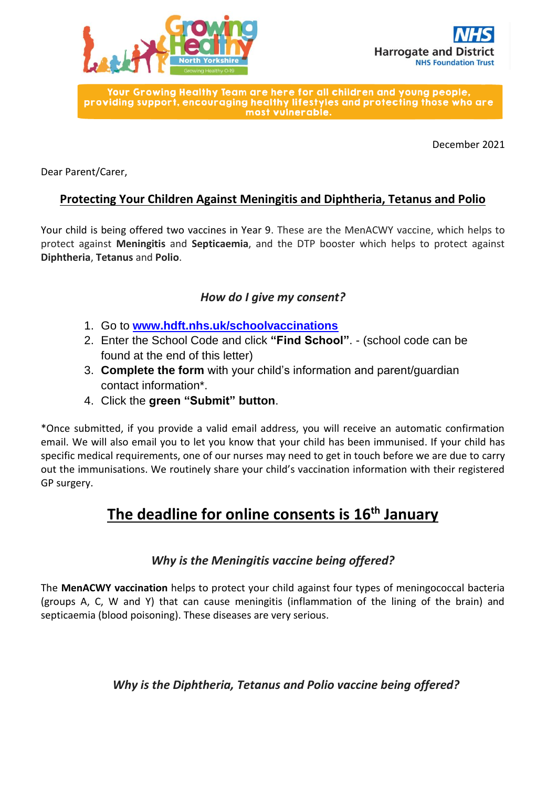



Your Growing Healthy Team are here for all children and young people. providing support, encouraging healthy lifestyles and protecting those who are most vulnerable.

December 2021

Dear Parent/Carer,

# **Protecting Your Children Against Meningitis and Diphtheria, Tetanus and Polio**

Your child is being offered two vaccines in Year 9. These are the MenACWY vaccine, which helps to protect against **Meningitis** and **Septicaemia**, and the DTP booster which helps to protect against **Diphtheria**, **Tetanus** and **Polio**.

# *How do I give my consent?*

- 1. Go to **[www.hdft.nhs.uk/schoolvaccinations](http://www.hdft.nhs.uk/schoolvaccinations)**
- 2. Enter the School Code and click **"Find School"**. (school code can be found at the end of this letter)
- 3. **Complete the form** with your child's information and parent/guardian contact information\*.
- 4. Click the **green "Submit" button**.

\*Once submitted, if you provide a valid email address, you will receive an automatic confirmation email. We will also email you to let you know that your child has been immunised. If your child has specific medical requirements, one of our nurses may need to get in touch before we are due to carry out the immunisations. We routinely share your child's vaccination information with their registered GP surgery.

# **The deadline for online consents is 16th January**

#### *Why is the Meningitis vaccine being offered?*

The **MenACWY vaccination** helps to protect your child against four types of meningococcal bacteria (groups A, C, W and Y) that can cause meningitis (inflammation of the lining of the brain) and septicaemia (blood poisoning). These diseases are very serious.

# *Why is the Diphtheria, Tetanus and Polio vaccine being offered?*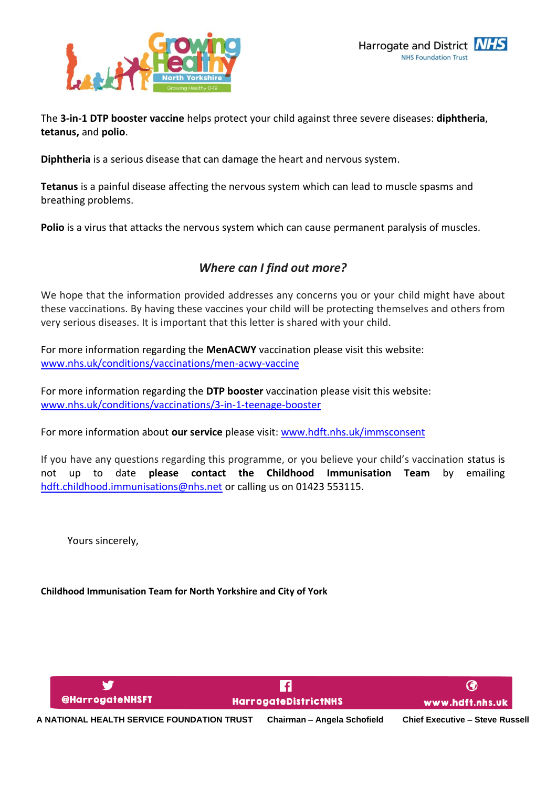

The **3-in-1 DTP booster vaccine** helps protect your child against three severe diseases: **diphtheria**, **tetanus,** and **polio**.

**Diphtheria** is a serious disease that can damage the heart and nervous system.

**Tetanus** is a painful disease affecting the nervous system which can lead to muscle spasms and breathing problems.

**Polio** is a virus that attacks the nervous system which can cause permanent paralysis of muscles.

# *Where can I find out more?*

We hope that the information provided addresses any concerns you or your child might have about these vaccinations. By having these vaccines your child will be protecting themselves and others from very serious diseases. It is important that this letter is shared with your child.

For more information regarding the **MenACWY** vaccination please visit this website: [www.nhs.uk/conditions/vaccinations/men-acwy-vaccine](http://www.nhs.uk/conditions/vaccinations/men-acwy-vaccine)

For more information regarding the **DTP booster** vaccination please visit this website: [www.nhs.uk/conditions/vaccinations/3-in-1-teenage-booster](http://www.nhs.uk/conditions/vaccinations/3-in-1-teenage-booster)

For more information about **our service** please visit: [www.hdft.nhs.uk/immsconsent](http://www.hdft.nhs.uk/immsconsent)

If you have any questions regarding this programme, or you believe your child's vaccination status is not up to date **please contact the Childhood Immunisation Team** by emailing [hdft.childhood.immunisations@nhs.net](mailto:hdft.childhood.immunisations@nhs.net) or calling us on 01423 553115.

Yours sincerely,

**Childhood Immunisation Team for North Yorkshire and City of York**

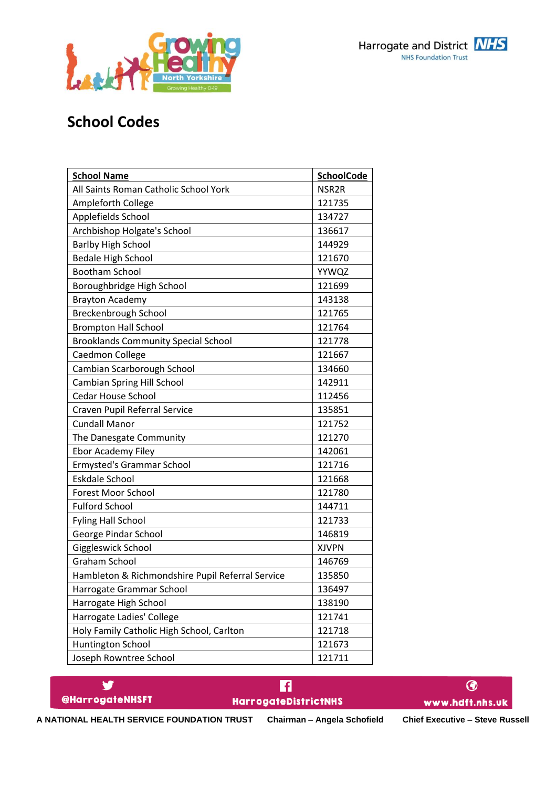



# **School Codes**

| <b>School Name</b>                               | <b>SchoolCode</b> |
|--------------------------------------------------|-------------------|
| All Saints Roman Catholic School York            | NSR <sub>2R</sub> |
| Ampleforth College                               | 121735            |
| Applefields School                               | 134727            |
| Archbishop Holgate's School                      | 136617            |
| <b>Barlby High School</b>                        | 144929            |
| <b>Bedale High School</b>                        | 121670            |
| <b>Bootham School</b>                            | YYWQZ             |
| Boroughbridge High School                        | 121699            |
| <b>Brayton Academy</b>                           | 143138            |
| Breckenbrough School                             | 121765            |
| <b>Brompton Hall School</b>                      | 121764            |
| <b>Brooklands Community Special School</b>       | 121778            |
| Caedmon College                                  | 121667            |
| Cambian Scarborough School                       | 134660            |
| Cambian Spring Hill School                       | 142911            |
| <b>Cedar House School</b>                        | 112456            |
| Craven Pupil Referral Service                    | 135851            |
| <b>Cundall Manor</b>                             | 121752            |
| The Danesgate Community                          | 121270            |
| Ebor Academy Filey                               | 142061            |
| <b>Ermysted's Grammar School</b>                 | 121716            |
| <b>Eskdale School</b>                            | 121668            |
| <b>Forest Moor School</b>                        | 121780            |
| <b>Fulford School</b>                            | 144711            |
| <b>Fyling Hall School</b>                        | 121733            |
| George Pindar School                             | 146819            |
| Giggleswick School                               | <b>XJVPN</b>      |
| <b>Graham School</b>                             | 146769            |
| Hambleton & Richmondshire Pupil Referral Service | 135850            |
| Harrogate Grammar School                         | 136497            |
| Harrogate High School                            | 138190            |
| Harrogate Ladies' College                        | 121741            |
| Holy Family Catholic High School, Carlton        | 121718            |
| Huntington School                                | 121673            |
| Joseph Rowntree School                           | 121711            |

| <b>@HarrogateNHSFT</b>                     | <b>HarrogateDistrictNHS</b> | www.hdft.nhs.uk                        |  |
|--------------------------------------------|-----------------------------|----------------------------------------|--|
| A NATIONAL HEALTH SERVICE FOUNDATION TRUST | Chairman - Angela Schofield | <b>Chief Executive - Steve Russell</b> |  |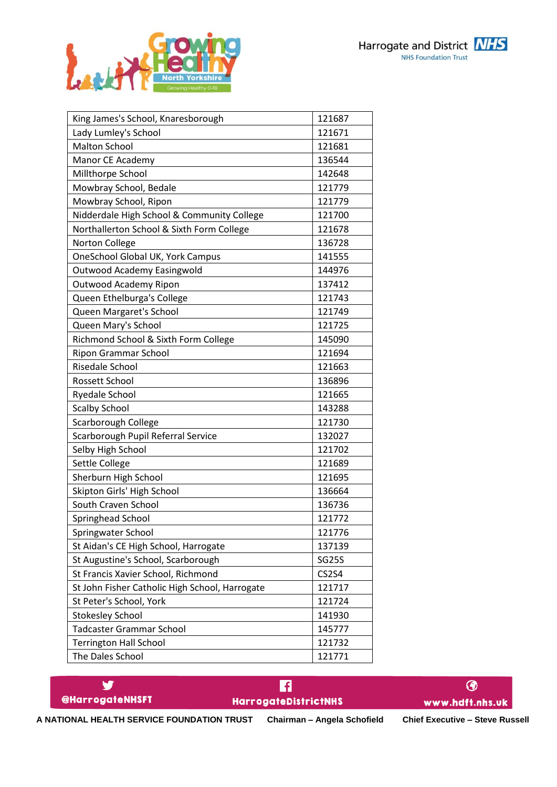



| King James's School, Knaresborough             | 121687       |
|------------------------------------------------|--------------|
| Lady Lumley's School                           | 121671       |
| <b>Malton School</b>                           | 121681       |
| Manor CE Academy                               | 136544       |
| Millthorpe School                              | 142648       |
| Mowbray School, Bedale                         | 121779       |
| Mowbray School, Ripon                          | 121779       |
| Nidderdale High School & Community College     | 121700       |
| Northallerton School & Sixth Form College      | 121678       |
| Norton College                                 | 136728       |
| OneSchool Global UK, York Campus               | 141555       |
| <b>Outwood Academy Easingwold</b>              | 144976       |
| <b>Outwood Academy Ripon</b>                   | 137412       |
| Queen Ethelburga's College                     | 121743       |
| Queen Margaret's School                        | 121749       |
| Queen Mary's School                            | 121725       |
| Richmond School & Sixth Form College           | 145090       |
| <b>Ripon Grammar School</b>                    | 121694       |
| Risedale School                                | 121663       |
| Rossett School                                 | 136896       |
| Ryedale School                                 | 121665       |
| <b>Scalby School</b>                           | 143288       |
| Scarborough College                            | 121730       |
| Scarborough Pupil Referral Service             | 132027       |
| Selby High School                              | 121702       |
| Settle College                                 | 121689       |
| Sherburn High School                           | 121695       |
| Skipton Girls' High School                     | 136664       |
| South Craven School                            | 136736       |
| Springhead School                              | 121772       |
| Springwater School                             | 121776       |
| St Aidan's CE High School, Harrogate           | 137139       |
| St Augustine's School, Scarborough             | <b>SG25S</b> |
| St Francis Xavier School, Richmond             | <b>CS2S4</b> |
| St John Fisher Catholic High School, Harrogate | 121717       |
| St Peter's School, York                        | 121724       |
| <b>Stokesley School</b>                        | 141930       |
| <b>Tadcaster Grammar School</b>                | 145777       |
| <b>Terrington Hall School</b>                  | 121732       |
| The Dales School                               | 121771       |

| @HarrogateNHSFT | HarrogateDistrictNHS | www.hdft.nhs.uk |  |
|-----------------|----------------------|-----------------|--|

**A NATIONAL HEALTH SERVICE FOUNDATION TRUST Chairman – Angela Schofield Chief Executive – Steve Russell**